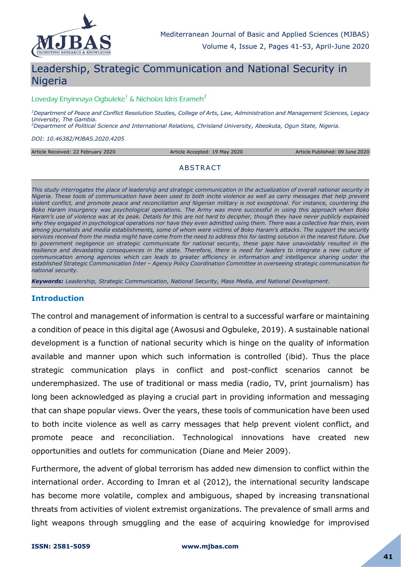

# Leadership, Strategic Communication and National Security in **Nigeria**

#### Loveday Enyinnaya Ogbuleke<sup>1</sup> & Nicholas Idris Erameh<sup>2</sup>

*<sup>1</sup>Department of Peace and Conflict Resolution Studies, College of Arts, Law, Administration and Management Sciences, Legacy University, The Gambia.*

*<sup>2</sup>Department of Political Science and International Relations, Chrisland University, Abeokuta, Ogun State, Nigeria.*

*DOI: 10.46382/MJBAS.2020.4205*

Article Received: 22 February 2020 Article Accepted: 19 May 2020 Article Published: 09 June 2020

#### ABSTRACT

*This study interrogates the place of leadership and strategic communication in the actualization of overall national security in Nigeria. These tools of communication have been used to both incite violence as well as carry messages that help prevent violent conflict, and promote peace and reconciliation and Nigerian military is not exceptional. For instance, countering the Boko Haram insurgency was psychological operations. The Army was more successful in using this approach when Boko Haram's use of violence was at its peak. Details for this are not hard to decipher, though they have never publicly explained why they engaged in psychological operations nor have they even admitted using them. There was a collective fear then, even among journalists and media establishments, some of whom were victims of Boko Haram's attacks. The support the security services received from the media might have come from the need to address this for lasting solution in the nearest future. Due*  to government negligence on strategic communicate for national security, these gaps have unavoidably resulted in the resilience and devastating consequences in the state. Therefore, there is need for leaders to integrate a new culture of communication among agencies which can leads to greater efficiency in information and intelligence sharing under the *established Strategic Communication Inter – Agency Policy Coordination Committee in overseeing strategic communication for national security.*

*Keywords: Leadership, Strategic Communication, National Security, Mass Media, and National Development.*

#### **Introduction**

The control and management of information is central to a successful warfare or maintaining a condition of peace in this digital age (Awosusi and Ogbuleke, 2019). A sustainable national development is a function of national security which is hinge on the quality of information available and manner upon which such information is controlled (ibid). Thus the place strategic communication plays in conflict and post-conflict scenarios cannot be underemphasized. The use of traditional or mass media (radio, TV, print journalism) has long been acknowledged as playing a crucial part in providing information and messaging that can shape popular views. Over the years, these tools of communication have been used to both incite violence as well as carry messages that help prevent violent conflict, and promote peace and reconciliation. Technological innovations have created new opportunities and outlets for communication (Diane and Meier 2009).

Furthermore, the advent of global terrorism has added new dimension to conflict within the international order. According to Imran et al (2012), the international security landscape has become more volatile, complex and ambiguous, shaped by increasing transnational threats from activities of violent extremist organizations. The prevalence of small arms and light weapons through smuggling and the ease of acquiring knowledge for improvised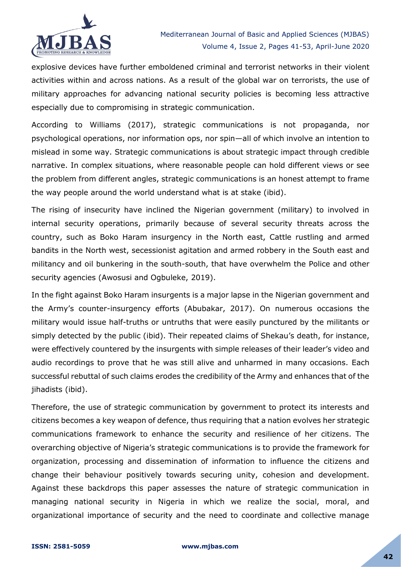

explosive devices have further emboldened criminal and terrorist networks in their violent activities within and across nations. As a result of the global war on terrorists, the use of military approaches for advancing national security policies is becoming less attractive especially due to compromising in strategic communication.

According to Williams (2017), strategic communications is not propaganda, nor psychological operations, nor information ops, nor spin—all of which involve an intention to mislead in some way. Strategic communications is about strategic impact through credible narrative. In complex situations, where reasonable people can hold different views or see the problem from different angles, strategic communications is an honest attempt to frame the way people around the world understand what is at stake (ibid).

The rising of insecurity have inclined the Nigerian government (military) to involved in internal security operations, primarily because of several security threats across the country, such as Boko Haram insurgency in the North east, Cattle rustling and armed bandits in the North west, secessionist agitation and armed robbery in the South east and militancy and oil bunkering in the south-south, that have overwhelm the Police and other security agencies (Awosusi and Ogbuleke, 2019).

In the fight against Boko Haram insurgents is a major lapse in the Nigerian government and the Army's counter-insurgency efforts (Abubakar, 2017). On numerous occasions the military would issue half-truths or untruths that were easily punctured by the militants or simply detected by the public (ibid). Their repeated claims of Shekau's death, for instance, were effectively countered by the insurgents with simple releases of their leader's video and audio recordings to prove that he was still alive and unharmed in many occasions. Each successful rebuttal of such claims erodes the credibility of the Army and enhances that of the jihadists (ibid).

Therefore, the use of strategic communication by government to protect its interests and citizens becomes a key weapon of defence, thus requiring that a nation evolves her strategic communications framework to enhance the security and resilience of her citizens. The overarching objective of Nigeria's strategic communications is to provide the framework for organization, processing and dissemination of information to influence the citizens and change their behaviour positively towards securing unity, cohesion and development. Against these backdrops this paper assesses the nature of strategic communication in managing national security in Nigeria in which we realize the social, moral, and organizational importance of security and the need to coordinate and collective manage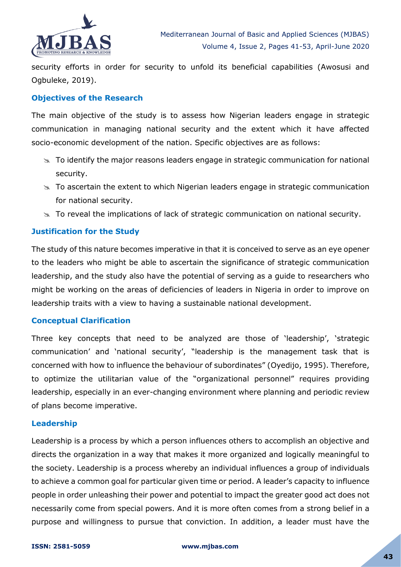

security efforts in order for security to unfold its beneficial capabilities (Awosusi and Ogbuleke, 2019).

## **Objectives of the Research**

The main objective of the study is to assess how Nigerian leaders engage in strategic communication in managing national security and the extent which it have affected socio-economic development of the nation. Specific objectives are as follows:

- $\infty$  To identify the major reasons leaders engage in strategic communication for national security.
- $\infty$  To ascertain the extent to which Nigerian leaders engage in strategic communication for national security.
- $\approx$  To reveal the implications of lack of strategic communication on national security.

## **Justification for the Study**

The study of this nature becomes imperative in that it is conceived to serve as an eye opener to the leaders who might be able to ascertain the significance of strategic communication leadership, and the study also have the potential of serving as a guide to researchers who might be working on the areas of deficiencies of leaders in Nigeria in order to improve on leadership traits with a view to having a sustainable national development.

## **Conceptual Clarification**

Three key concepts that need to be analyzed are those of 'leadership', 'strategic communication' and 'national security', "leadership is the management task that is concerned with how to influence the behaviour of subordinates" (Oyedijo, 1995). Therefore, to optimize the utilitarian value of the "organizational personnel" requires providing leadership, especially in an ever-changing environment where planning and periodic review of plans become imperative.

#### **Leadership**

Leadership is a process by which a person influences others to accomplish an objective and directs the organization in a way that makes it more organized and logically meaningful to the society. Leadership is a process whereby an individual influences a group of individuals to achieve a common goal for particular given time or period. A leader's capacity to influence people in order unleashing their power and potential to impact the greater good act does not necessarily come from special powers. And it is more often comes from a strong belief in a purpose and willingness to pursue that conviction. In addition, a leader must have the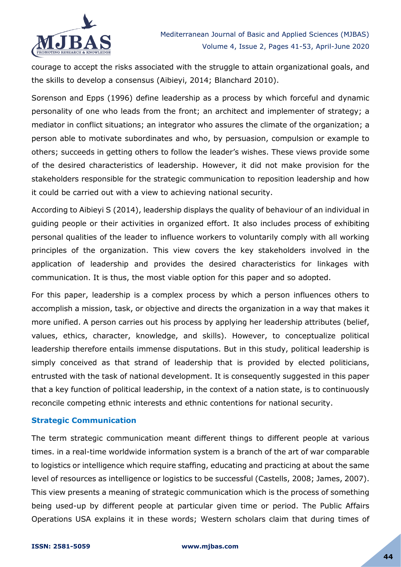

courage to accept the risks associated with the struggle to attain organizational goals, and the skills to develop a consensus (Aibieyi, 2014; Blanchard 2010).

Sorenson and Epps (1996) define leadership as a process by which forceful and dynamic personality of one who leads from the front; an architect and implementer of strategy; a mediator in conflict situations; an integrator who assures the climate of the organization; a person able to motivate subordinates and who, by persuasion, compulsion or example to others; succeeds in getting others to follow the leader's wishes. These views provide some of the desired characteristics of leadership. However, it did not make provision for the stakeholders responsible for the strategic communication to reposition leadership and how it could be carried out with a view to achieving national security.

According to Aibieyi S (2014), leadership displays the quality of behaviour of an individual in guiding people or their activities in organized effort. It also includes process of exhibiting personal qualities of the leader to influence workers to voluntarily comply with all working principles of the organization. This view covers the key stakeholders involved in the application of leadership and provides the desired characteristics for linkages with communication. It is thus, the most viable option for this paper and so adopted.

For this paper, leadership is a complex process by which a person influences others to accomplish a mission, task, or objective and directs the organization in a way that makes it more unified. A person carries out his process by applying her leadership attributes (belief, values, ethics, character, knowledge, and skills). However, to conceptualize political leadership therefore entails immense disputations. But in this study, political leadership is simply conceived as that strand of leadership that is provided by elected politicians, entrusted with the task of national development. It is consequently suggested in this paper that a key function of political leadership, in the context of a nation state, is to continuously reconcile competing ethnic interests and ethnic contentions for national security.

## **Strategic Communication**

The term strategic communication meant different things to different people at various times. in a real-time worldwide information system is a branch of the art of war comparable to logistics or intelligence which require staffing, educating and practicing at about the same level of resources as intelligence or logistics to be successful (Castells, 2008; James, 2007). This view presents a meaning of strategic communication which is the process of something being used-up by different people at particular given time or period. The Public Affairs Operations USA explains it in these words; Western scholars claim that during times of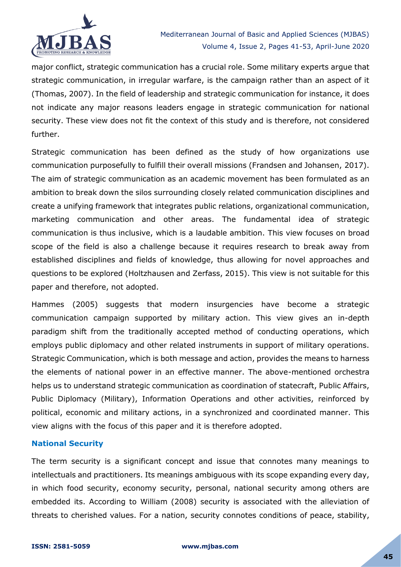

major conflict, strategic communication has a crucial role. Some military experts argue that strategic communication, in irregular warfare, is the campaign rather than an aspect of it (Thomas, 2007). In the field of leadership and strategic communication for instance, it does not indicate any major reasons leaders engage in strategic communication for national security. These view does not fit the context of this study and is therefore, not considered further.

Strategic communication has been defined as the study of how organizations use communication purposefully to fulfill their overall missions (Frandsen and Johansen, [2017\)](https://www.tandfonline.com/doi/full/10.1080/1553118X.2018.1456434). The aim of strategic communication as an academic movement has been formulated as an ambition to break down the silos surrounding closely related communication disciplines and create a unifying framework that integrates public relations, organizational communication, marketing communication and other areas. The fundamental idea of strategic communication is thus inclusive, which is a laudable ambition. This view focuses on broad scope of the field is also a challenge because it requires research to break away from established disciplines and fields of knowledge, thus allowing for novel approaches and questions to be explored (Holtzhausen and Zerfass, 2015). This view is not suitable for this paper and therefore, not adopted.

Hammes (2005) suggests that modern insurgencies have become a strategic communication campaign supported by military action. This view gives an in-depth paradigm shift from the traditionally accepted method of conducting operations, which employs public diplomacy and other related instruments in support of military operations. Strategic Communication, which is both message and action, provides the means to harness the elements of national power in an effective manner. The above-mentioned orchestra helps us to understand strategic communication as coordination of statecraft, Public Affairs, Public Diplomacy (Military), Information Operations and other activities, reinforced by political, economic and military actions, in a synchronized and coordinated manner. This view aligns with the focus of this paper and it is therefore adopted.

#### **National Security**

The term security is a significant concept and issue that connotes many meanings to intellectuals and practitioners. Its meanings ambiguous with its scope expanding every day, in which food security, economy security, personal, national security among others are embedded its. According to William (2008) security is associated with the alleviation of threats to cherished values. For a nation, security connotes conditions of peace, stability,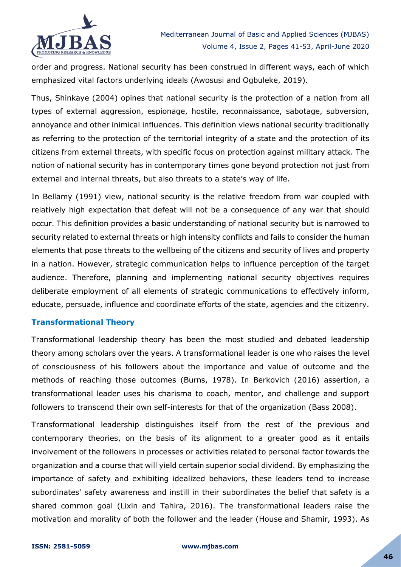

order and progress. National security has been construed in different ways, each of which emphasized vital factors underlying ideals (Awosusi and Ogbuleke, 2019).

Thus, Shinkaye (2004) opines that national security is the protection of a nation from all types of external aggression, espionage, hostile, reconnaissance, sabotage, subversion, annoyance and other inimical influences. This definition views national security traditionally as referring to the protection of the territorial integrity of a state and the protection of its citizens from external threats, with specific focus on protection against military attack. The notion of national security has in contemporary times gone beyond protection not just from external and internal threats, but also threats to a state's way of life.

In Bellamy (1991) view, national security is the relative freedom from war coupled with relatively high expectation that defeat will not be a consequence of any war that should occur. This definition provides a basic understanding of national security but is narrowed to security related to external threats or high intensity conflicts and fails to consider the human elements that pose threats to the wellbeing of the citizens and security of lives and property in a nation. However, strategic communication helps to influence perception of the target audience. Therefore, planning and implementing national security objectives requires deliberate employment of all elements of strategic communications to effectively inform, educate, persuade, influence and coordinate efforts of the state, agencies and the citizenry.

## **Transformational Theory**

Transformational leadership theory has been the most studied and debated leadership theory among scholars over the years. A transformational leader is one who raises the level of consciousness of his followers about the importance and value of outcome and the methods of reaching those outcomes (Burns, 1978). In Berkovich (2016) assertion, a transformational leader uses his charisma to coach, mentor, and challenge and support followers to transcend their own self-interests for that of the organization (Bass 2008).

Transformational leadership distinguishes itself from the rest of the previous and contemporary theories, on the basis of its alignment to a greater good as it entails involvement of the followers in processes or activities related to personal factor towards the organization and a course that will yield certain superior social dividend. By emphasizing the importance of safety and exhibiting idealized behaviors, these leaders tend to increase subordinates' safety awareness and instill in their subordinates the belief that safety is a shared common goal (Lixin and Tahira, 2016). The transformational leaders raise the motivation and morality of both the follower and the leader (House and Shamir, 1993). As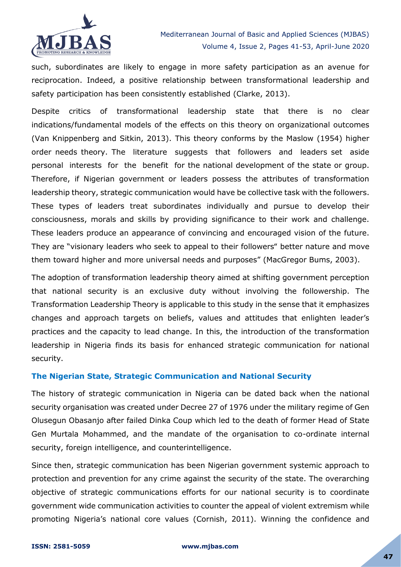

such, subordinates are likely to engage in more safety participation as an avenue for reciprocation. Indeed, a positive relationship between transformational leadership and safety participation has been consistently established (Clarke, 2013).

Despite critics of transformational leadership state that there is no clear indications/fundamental models of the effects on this theory on organizational outcomes (Van Knippenberg and Sitkin, 2013). This theory conforms by the Maslow (1954) higher order needs theory. The literature suggests that followers and leaders set aside personal interests for the benefit for the national development of the state or group. Therefore, if Nigerian government or leaders possess the attributes of transformation leadership theory, strategic communication would have be collective task with the followers. These types of leaders treat subordinates individually and pursue to develop their consciousness, morals and skills by providing significance to their work and challenge. These leaders produce an appearance of convincing and encouraged vision of the future. They are "visionary leaders who seek to appeal to their followers" better nature and move them toward higher and more universal needs and purposes" (MacGregor Bums, 2003).

The adoption of transformation leadership theory aimed at shifting government perception that national security is an exclusive duty without involving the followership. The Transformation Leadership Theory is applicable to this study in the sense that it emphasizes changes and approach targets on beliefs, values and attitudes that enlighten leader's practices and the capacity to lead change. In this, the introduction of the transformation leadership in Nigeria finds its basis for enhanced strategic communication for national security.

## **The Nigerian State, Strategic Communication and National Security**

The history of strategic communication in Nigeria can be dated back when the national security organisation was created under Decree 27 of 1976 under the military regime of Gen Olusegun Obasanjo after failed Dinka Coup which led to the death of former Head of State Gen Murtala Mohammed, and the mandate of the organisation to co-ordinate internal security, foreign intelligence, and counterintelligence.

Since then, strategic communication has been Nigerian government systemic approach to protection and prevention for any crime against the security of the state. The overarching objective of strategic communications efforts for our national security is to coordinate government wide communication activities to counter the appeal of violent extremism while promoting Nigeria's national core values (Cornish, 2011). Winning the confidence and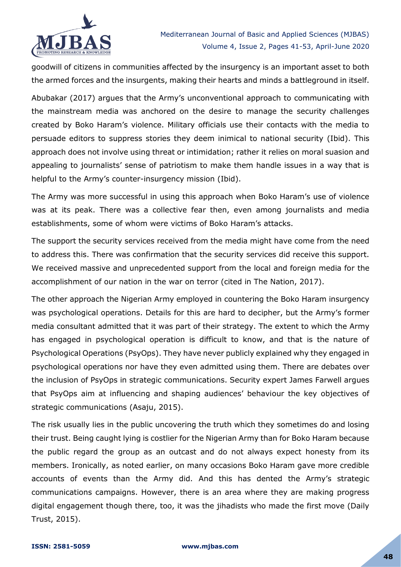

goodwill of citizens in communities affected by the insurgency is an important asset to both the armed forces and the insurgents, making their hearts and minds a battleground in itself.

Abubakar (2017) argues that the Army's unconventional approach to communicating with the mainstream media was anchored on the desire to manage the security challenges created by Boko Haram's violence. Military officials use their contacts with the media to persuade editors to suppress stories they deem inimical to national security (Ibid). This approach does not involve using threat or intimidation; rather it relies on moral suasion and appealing to journalists' sense of patriotism to make them handle issues in a way that is helpful to the Army's counter-insurgency mission (Ibid).

The Army was more successful in using this approach when Boko Haram's use of violence was at its peak. There was a collective fear then, even among journalists and media establishments, some of whom were victims of Boko Haram's attacks.

The support the security services received from the media might have come from the need to address this. There was confirmation that the security services did receive this support. We received massive and unprecedented support from the local and foreign media for the accomplishment of our nation in the war on terror (cited in The Nation, 2017).

The other approach the Nigerian Army employed in countering the Boko Haram insurgency was psychological operations. Details for this are hard to decipher, but the Army's former media consultant admitted that it was part of their strategy. The extent to which the Army has engaged in psychological operation is difficult to know, and that is the nature of Psychological Operations (PsyOps). They have never publicly explained why they engaged in psychological operations nor have they even admitted using them. There are debates over the inclusion of PsyOps in strategic communications. Security expert James Farwell argues that PsyOps aim at influencing and shaping audiences' behaviour the key objectives of strategic communications (Asaju, 2015).

The risk usually lies in the public uncovering the truth which they sometimes do and losing their trust. Being caught lying is costlier for the Nigerian Army than for Boko Haram because the public regard the group as an outcast and do not always expect honesty from its members. Ironically, as noted earlier, on many occasions Boko Haram gave more credible accounts of events than the Army did. And this has dented the Army's strategic communications campaigns. However, there is an area where they are making progress digital engagement though there, too, it was the jihadists who made the first move (Daily Trust, 2015).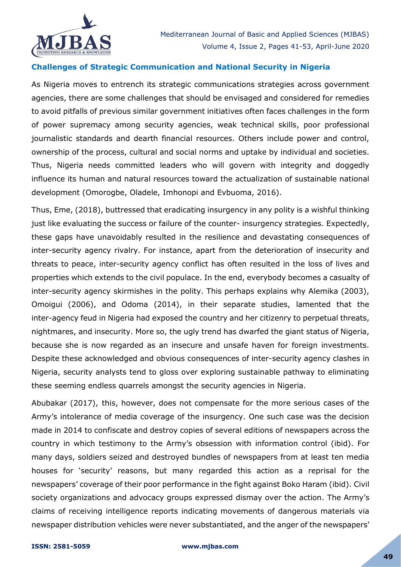

## **Challenges of Strategic Communication and National Security in Nigeria**

As Nigeria moves to entrench its strategic communications strategies across government agencies, there are some challenges that should be envisaged and considered for remedies to avoid pitfalls of previous similar government initiatives often faces challenges in the form of power supremacy among security agencies, weak technical skills, poor professional journalistic standards and dearth financial resources. Others include power and control, ownership of the process, cultural and social norms and uptake by individual and societies. Thus, Nigeria needs committed leaders who will govern with integrity and doggedly influence its human and natural resources toward the actualization of sustainable national development (Omorogbe, Oladele, Imhonopi and Evbuoma, 2016).

Thus, Eme, (2018), buttressed that eradicating insurgency in any polity is a wishful thinking just like evaluating the success or failure of the counter- insurgency strategies. Expectedly, these gaps have unavoidably resulted in the resilience and devastating consequences of inter-security agency rivalry. For instance, apart from the deterioration of insecurity and threats to peace, inter-security agency conflict has often resulted in the loss of lives and properties which extends to the civil populace. In the end, everybody becomes a casualty of inter-security agency skirmishes in the polity. This perhaps explains why Alemika (2003), Omoigui (2006), and Odoma (2014), in their separate studies, lamented that the inter-agency feud in Nigeria had exposed the country and her citizenry to perpetual threats, nightmares, and insecurity. More so, the ugly trend has dwarfed the giant status of Nigeria, because she is now regarded as an insecure and unsafe haven for foreign investments. Despite these acknowledged and obvious consequences of inter-security agency clashes in Nigeria, security analysts tend to gloss over exploring sustainable pathway to eliminating these seeming endless quarrels amongst the security agencies in Nigeria.

Abubakar (2017), this, however, does not compensate for the more serious cases of the Army's intolerance of media coverage of the insurgency. One such case was the decision made in 2014 to confiscate and destroy copies of several editions of newspapers across the country in which testimony to the Army's obsession with information control (ibid). For many days, soldiers seized and destroyed bundles of newspapers from at least ten media houses for 'security' reasons, but many regarded this action as a reprisal for the newspapers' coverage of their poor performance in the fight against Boko Haram (ibid). Civil society organizations and advocacy groups expressed dismay over the action. The Army's claims of receiving intelligence reports indicating movements of dangerous materials via newspaper distribution vehicles were never substantiated, and the anger of the newspapers'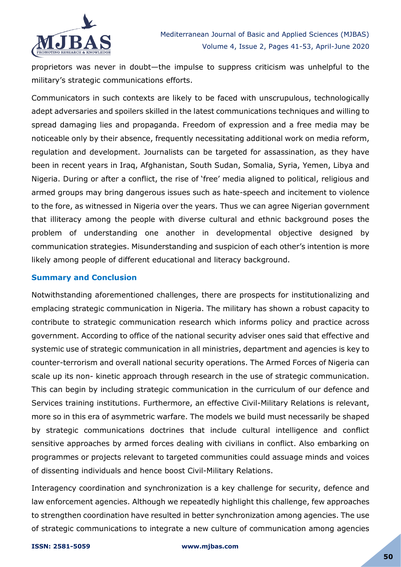

proprietors was never in doubt—the impulse to suppress criticism was unhelpful to the military's strategic communications efforts.

Communicators in such contexts are likely to be faced with unscrupulous, technologically adept adversaries and spoilers skilled in the latest communications techniques and willing to spread damaging lies and propaganda. Freedom of expression and a free media may be noticeable only by their absence, frequently necessitating additional work on media reform, regulation and development. Journalists can be targeted for assassination, as they have been in recent years in Iraq, Afghanistan, South Sudan, Somalia, Syria, Yemen, Libya and Nigeria. During or after a conflict, the rise of 'free' media aligned to political, religious and armed groups may bring dangerous issues such as hate-speech and incitement to violence to the fore, as witnessed in Nigeria over the years. Thus we can agree Nigerian government that illiteracy among the people with diverse cultural and ethnic background poses the problem of understanding one another in developmental objective designed by communication strategies. Misunderstanding and suspicion of each other's intention is more likely among people of different educational and literacy background.

#### **Summary and Conclusion**

Notwithstanding aforementioned challenges, there are prospects for institutionalizing and emplacing strategic communication in Nigeria. The military has shown a robust capacity to contribute to strategic communication research which informs policy and practice across government. According to office of the national security adviser ones said that effective and systemic use of strategic communication in all ministries, department and agencies is key to counter-terrorism and overall national security operations. The Armed Forces of Nigeria can scale up its non- kinetic approach through research in the use of strategic communication. This can begin by including strategic communication in the curriculum of our defence and Services training institutions. Furthermore, an effective Civil-Military Relations is relevant, more so in this era of asymmetric warfare. The models we build must necessarily be shaped by strategic communications doctrines that include cultural intelligence and conflict sensitive approaches by armed forces dealing with civilians in conflict. Also embarking on programmes or projects relevant to targeted communities could assuage minds and voices of dissenting individuals and hence boost Civil-Military Relations.

Interagency coordination and synchronization is a key challenge for security, defence and law enforcement agencies. Although we repeatedly highlight this challenge, few approaches to strengthen coordination have resulted in better synchronization among agencies. The use of strategic communications to integrate a new culture of communication among agencies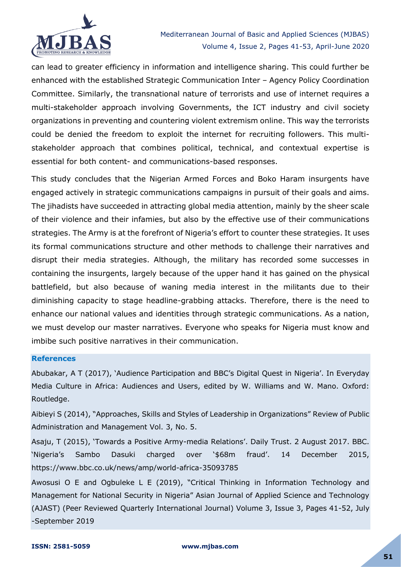

can lead to greater efficiency in information and intelligence sharing. This could further be enhanced with the established Strategic Communication Inter – Agency Policy Coordination Committee. Similarly, the transnational nature of terrorists and use of internet requires a multi-stakeholder approach involving Governments, the ICT industry and civil society organizations in preventing and countering violent extremism online. This way the terrorists could be denied the freedom to exploit the internet for recruiting followers. This multistakeholder approach that combines political, technical, and contextual expertise is essential for both content- and communications-based responses.

This study concludes that the Nigerian Armed Forces and Boko Haram insurgents have engaged actively in strategic communications campaigns in pursuit of their goals and aims. The jihadists have succeeded in attracting global media attention, mainly by the sheer scale of their violence and their infamies, but also by the effective use of their communications strategies. The Army is at the forefront of Nigeria's effort to counter these strategies. It uses its formal communications structure and other methods to challenge their narratives and disrupt their media strategies. Although, the military has recorded some successes in containing the insurgents, largely because of the upper hand it has gained on the physical battlefield, but also because of waning media interest in the militants due to their diminishing capacity to stage headline-grabbing attacks. Therefore, there is the need to enhance our national values and identities through strategic communications. As a nation, we must develop our master narratives. Everyone who speaks for Nigeria must know and imbibe such positive narratives in their communication.

#### **References**

Abubakar, A T (2017), 'Audience Participation and BBC's Digital Quest in Nigeria'. In Everyday Media Culture in Africa: Audiences and Users, edited by W. Williams and W. Mano. Oxford: Routledge.

Aibieyi S (2014), "Approaches, Skills and Styles of Leadership in Organizations" Review of Public Administration and Management Vol. 3, No. 5.

Asaju, T (2015), ‗Towards a Positive Army-media Relations'. Daily Trust. 2 August 2017. BBC. ‗Nigeria's Sambo Dasuki charged over ‗\$68m fraud'. 14 December 2015, https://www.bbc.co.uk/news/amp/world-africa-35093785

Awosusi O E and Ogbuleke L E (2019), "Critical Thinking in Information Technology and Management for National Security in Nigeria" Asian Journal of Applied Science and Technology (AJAST) (Peer Reviewed Quarterly International Journal) Volume 3, Issue 3, Pages 41-52, July -September 2019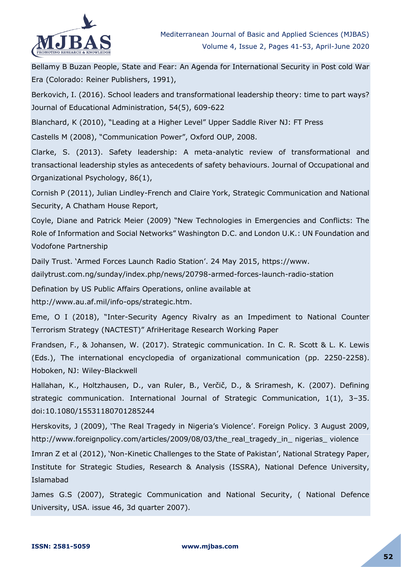

Bellamy B Buzan People, State and Fear: An Agenda for International Security in Post cold War Era (Colorado: Reiner Publishers, 1991),

Berkovich, I. (2016). School leaders and transformational leadership theory: time to part ways? Journal of Educational Administration, 54(5), 609-622

Blanchard, K (2010), "Leading at a Higher Level" Upper Saddle River NJ: FT Press

Castells M (2008), "Communication Power", Oxford OUP, 2008.

Clarke, S. (2013). Safety leadership: A meta-analytic review of transformational and transactional leadership styles as antecedents of safety behaviours. Journal of Occupational and Organizational Psychology, 86(1),

Cornish P (2011), Julian Lindley-French and Claire York, Strategic Communication and National Security, A Chatham House Report,

Coyle, Diane and Patrick Meier (2009) "New Technologies in Emergencies and Conflicts: The Role of Information and Social Networks" Washington D.C. and London U.K.: UN Foundation and Vodofone Partnership

Daily Trust. 'Armed Forces Launch Radio Station'. 24 May 2015, https://www.

dailytrust.com.ng/sunday/index.php/news/20798-armed-forces-launch-radio-station

Defination by US Public Affairs Operations, online available at

http://www.au.af.mil/info-ops/strategic.htm.

Eme, O I (2018), "Inter-Security Agency Rivalry as an Impediment to National Counter Terrorism Strategy (NACTEST)‖ AfriHeritage Research Working Paper

Frandsen, F., & Johansen, W. (2017). Strategic communication. In C. R. Scott & L. K. Lewis (Eds.), The international encyclopedia of organizational communication (pp. 2250-2258). Hoboken, NJ: Wiley-Blackwell

Hallahan, K., Holtzhausen, D., van Ruler, B., Verčič, D., & Sriramesh, K. (2007). Defining strategic communication. International Journal of Strategic Communication, 1(1), 3–35. doi:10.1080/15531180701285244

Herskovits, J (2009), 'The Real Tragedy in Nigeria's Violence'. Foreign Policy. 3 August 2009, http://www.foreignpolicy.com/articles/2009/08/03/the\_real\_tragedy\_in\_ nigerias\_ violence

Imran Z et al (2012), 'Non-Kinetic Challenges to the State of Pakistan', National Strategy Paper, Institute for Strategic Studies, Research & Analysis (ISSRA), National Defence University, Islamabad

James G.S (2007), Strategic Communication and National Security, ( National Defence University, USA. issue 46, 3d quarter 2007).